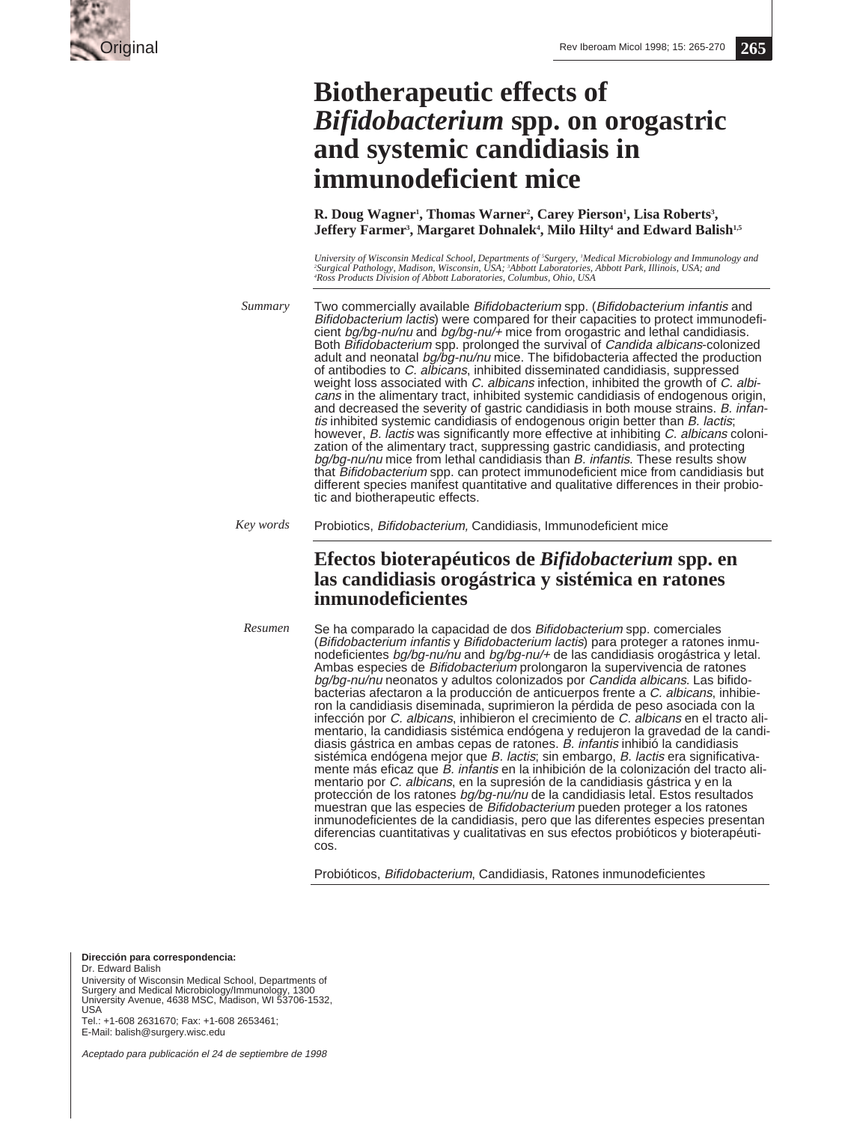

# **Biotherapeutic effects of** *Bifidobacterium* **spp. on orogastric and systemic candidiasis in immunodeficient mice**

**R.** Doug Wagner<sup>1</sup>, Thomas Warner<sup>2</sup>, Carey Pierson<sup>1</sup>, Lisa Roberts<sup>3</sup>, **Jeffery Farmer<sup>3</sup>, Margaret Dohnalek<sup>4</sup>, Milo Hilty<sup>4</sup> and Edward Balish<sup>1,5</sup>** 

University of Wisconsin Medical School, Departments of 'Surgery, 'Medical Microbiology and Immunology and<br>'Surgical Pathology, Madison, Wisconsin, USA; 'Abbott Laboratories, Abbott Park, Illinois, USA; and<br>'Ross Products D

Two commercially available Bifidobacterium spp. (Bifidobacterium infantis and Bifidobacterium lactis) were compared for their capacities to protect immunodeficient bg/bg-nu/nu and bg/bg-nu/+ mice from orogastric and lethal candidiasis. Both Bifidobacterium spp. prolonged the survival of Candida albicans-colonized adult and neonatal bg/bg-nu/nu mice. The bifidobacteria affected the production of antibodies to C. albicans, inhibited disseminated candidiasis, suppressed weight loss associated with C. albicans infection, inhibited the growth of C. albicans in the alimentary tract, inhibited systemic candidiasis of endogenous origin, and decreased the severity of gastric candidiasis in both mouse strains. B. infantis inhibited systemic candidiasis of endogenous origin better than B. lactis; however, B. lactis was significantly more effective at inhibiting C. albicans colonization of the alimentary tract, suppressing gastric candidiasis, and protecting bg/bg-nu/nu mice from lethal candidiasis than B. infantis. These results show that Bifidobacterium spp. can protect immunodeficient mice from candidiasis but different species manifest quantitative and qualitative differences in their probiotic and biotherapeutic effects. *Summary*

Probiotics, Bifidobacterium, Candidiasis, Immunodeficient mice *Key words*

# **Efectos bioterapéuticos de** *Bifidobacterium* **spp. en las candidiasis orogástrica y sistémica en ratones inmunodeficientes**

Se ha comparado la capacidad de dos Bifidobacterium spp. comerciales (Bifidobacterium infantis y Bifidobacterium lactis) para proteger a ratones inmunodeficientes bg/bg-nu/nu and bg/bg-nu/+ de las candidiasis orogástrica y letal. Ambas especies de Bifidobacterium prolongaron la supervivencia de ratones bg/bg-nu/nu neonatos y adultos colonizados por Candida albicans. Las bifidobacterias afectaron a la producción de anticuerpos frente a C. albicans, inhibieron la candidiasis diseminada, suprimieron la pérdida de peso asociada con la infección por C. albicans, inhibieron el crecimiento de C. albicans en el tracto alimentario, la candidiasis sistémica endógena y redujeron la gravedad de la candidiasis gástrica en ambas cepas de ratones. B. infantis inhibió la candidiasis sistémica endógena mejor que B. lactis; sin embargo, B. lactis era significativamente más eficaz que B. infantis en la inhibición de la colonización del tracto alimentario por C. albicans, en la supresión de la candidiasis gástrica y en la protección de los ratones bg/bg-nu/nu de la candidiasis letal. Estos resultados muestran que las especies de Bifidobacterium pueden proteger a los ratones inmunodeficientes de la candidiasis, pero que las diferentes especies presentan diferencias cuantitativas y cualitativas en sus efectos probióticos y bioterapéuticos. *Resumen*

Probióticos, Bifidobacterium, Candidiasis, Ratones inmunodeficientes

**Dirección para correspondencia:**

Dr. Edward Balish University of Wisconsin Medical School, Departments of Surgery and Medical Microbiology/Immunology, 1300 University Avenue, 4638 MSC, Madison, WI 53706-1532, USA Tel.: +1-608 2631670; Fax: +1-608 2653461;

E-Mail: balish@surgery.wisc.edu

Aceptado para publicación el 24 de septiembre de 1998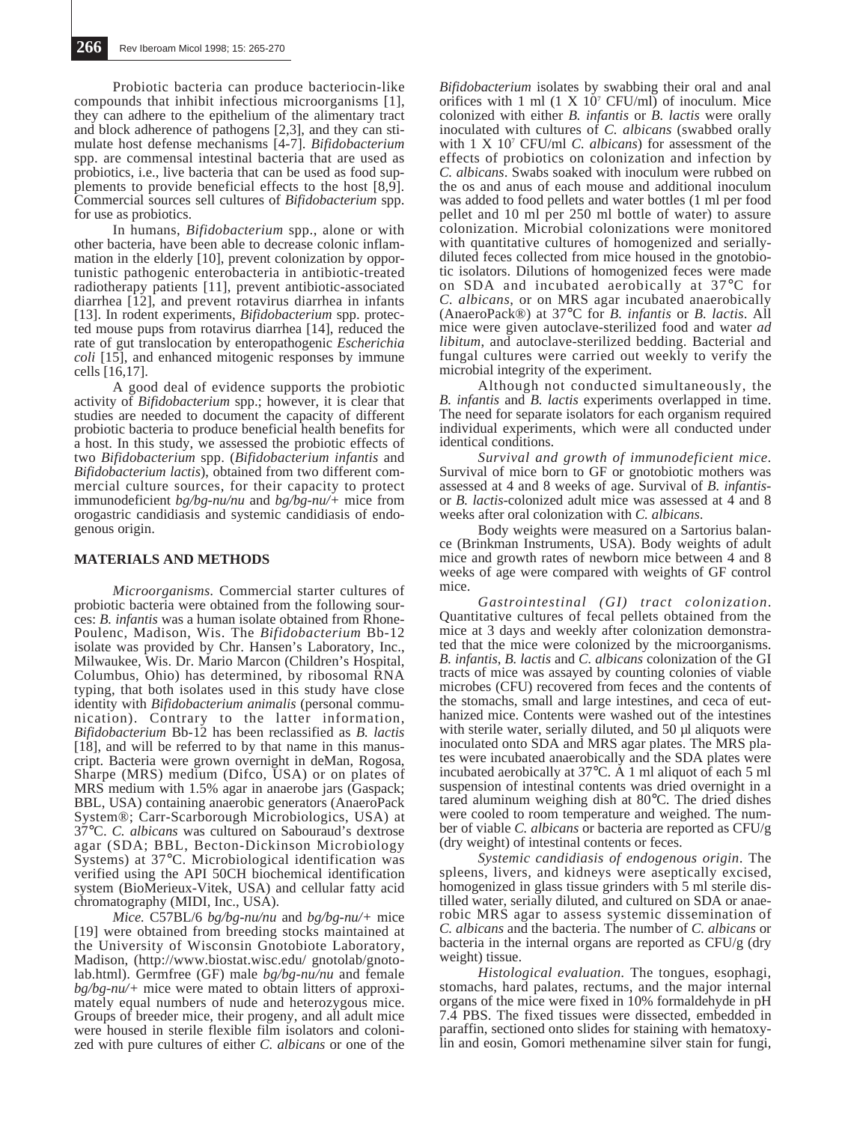Probiotic bacteria can produce bacteriocin-like compounds that inhibit infectious microorganisms [1], they can adhere to the epithelium of the alimentary tract and block adherence of pathogens [2,3], and they can stimulate host defense mechanisms [4-7]. *Bifidobacterium* spp. are commensal intestinal bacteria that are used as probiotics, i.e., live bacteria that can be used as food supplements to provide beneficial effects to the host  $[8,9]$ . Commercial sources sell cultures of *Bifidobacterium* spp. for use as probiotics.

In humans, *Bifidobacterium* spp., alone or with other bacteria, have been able to decrease colonic inflammation in the elderly [10], prevent colonization by opportunistic pathogenic enterobacteria in antibiotic-treated radiotherapy patients [11], prevent antibiotic-associated diarrhea [12], and prevent rotavirus diarrhea in infants [13]. In rodent experiments, *Bifidobacterium* spp. protected mouse pups from rotavirus diarrhea [14], reduced the rate of gut translocation by enteropathogenic *Escherichia coli* [15], and enhanced mitogenic responses by immune cells [16,17].

A good deal of evidence supports the probiotic activity of *Bifidobacterium* spp.; however, it is clear that studies are needed to document the capacity of different probiotic bacteria to produce beneficial health benefits for a host. In this study, we assessed the probiotic effects of two *Bifidobacterium* spp. (*Bifidobacterium infantis* and *Bifidobacterium lactis*), obtained from two different commercial culture sources, for their capacity to protect immunodeficient *bg/bg-nu/nu* and *bg/bg-nu/+* mice from orogastric candidiasis and systemic candidiasis of endogenous origin.

# **MATERIALS AND METHODS**

*Microorganisms.* Commercial starter cultures of probiotic bacteria were obtained from the following sources: *B. infantis* was a human isolate obtained from Rhone-Poulenc, Madison, Wis. The *Bifidobacterium* Bb-12 isolate was provided by Chr. Hansen's Laboratory, Inc., Milwaukee, Wis. Dr. Mario Marcon (Children's Hospital, Columbus, Ohio) has determined, by ribosomal RNA typing, that both isolates used in this study have close identity with *Bifidobacterium animalis* (personal communication). Contrary to the latter information, *Bifidobacterium* Bb-12 has been reclassified as *B. lactis* [18], and will be referred to by that name in this manuscript. Bacteria were grown overnight in deMan, Rogosa, Sharpe (MRS) medium (Difco, USA) or on plates of MRS medium with 1.5% agar in anaerobe jars (Gaspack; BBL, USA) containing anaerobic generators (AnaeroPack System®; Carr-Scarborough Microbiologics, USA) at 37°C. *C. albicans* was cultured on Sabouraud's dextrose agar (SDA; BBL, Becton-Dickinson Microbiology Systems) at 37°C. Microbiological identification was verified using the API 50CH biochemical identification system (BioMerieux-Vitek, USA) and cellular fatty acid chromatography (MIDI, Inc., USA).

*Mice.* C57BL/6 *bg/bg-nu/nu* and *bg/bg-nu/+* mice [19] were obtained from breeding stocks maintained at the University of Wisconsin Gnotobiote Laboratory, Madison, (http://www.biostat.wisc.edu/ gnotolab/gnotolab.html). Germfree (GF) male *bg/bg-nu/nu* and female *bg/bg-nu/+* mice were mated to obtain litters of approximately equal numbers of nude and heterozygous mice. Groups of breeder mice, their progeny, and all adult mice were housed in sterile flexible film isolators and colonized with pure cultures of either *C. albicans* or one of the

*Bifidobacterium* isolates by swabbing their oral and anal orifices with 1 ml  $(1 \times 10^7 \text{ CFU/ml})$  of inoculum. Mice colonized with either *B. infantis* or *B. lactis* were orally inoculated with cultures of *C. albicans* (swabbed orally with 1 X 107 CFU/ml *C. albicans*) for assessment of the effects of probiotics on colonization and infection by *C. albicans*. Swabs soaked with inoculum were rubbed on the os and anus of each mouse and additional inoculum was added to food pellets and water bottles (1 ml per food pellet and 10 ml per 250 ml bottle of water) to assure colonization. Microbial colonizations were monitored with quantitative cultures of homogenized and seriallydiluted feces collected from mice housed in the gnotobiotic isolators. Dilutions of homogenized feces were made on SDA and incubated aerobically at 37°C for *C. albicans*, or on MRS agar incubated anaerobically (AnaeroPack®) at 37°C for *B. infantis* or *B. lactis*. All mice were given autoclave-sterilized food and water *ad libitum*, and autoclave-sterilized bedding. Bacterial and fungal cultures were carried out weekly to verify the microbial integrity of the experiment.

Although not conducted simultaneously, the *B. infantis* and *B. lactis* experiments overlapped in time. The need for separate isolators for each organism required individual experiments, which were all conducted under identical conditions.

*Survival and growth of immunodeficient mice.* Survival of mice born to GF or gnotobiotic mothers was assessed at 4 and 8 weeks of age. Survival of *B. infantis*or *B. lactis*-colonized adult mice was assessed at 4 and 8 weeks after oral colonization with *C. albicans*.

Body weights were measured on a Sartorius balance (Brinkman Instruments, USA). Body weights of adult mice and growth rates of newborn mice between 4 and 8 weeks of age were compared with weights of GF control mice.

*Gastrointestinal (GI) tract colonization*. Quantitative cultures of fecal pellets obtained from the mice at 3 days and weekly after colonization demonstrated that the mice were colonized by the microorganisms. *B. infantis*, *B. lactis* and *C. albicans* colonization of the GI tracts of mice was assayed by counting colonies of viable microbes (CFU) recovered from feces and the contents of the stomachs, small and large intestines, and ceca of euthanized mice. Contents were washed out of the intestines with sterile water, serially diluted, and 50 µl aliquots were inoculated onto SDA and MRS agar plates. The MRS plates were incubated anaerobically and the SDA plates were incubated aerobically at 37°C. A 1 ml aliquot of each 5 ml suspension of intestinal contents was dried overnight in a tared aluminum weighing dish at 80°C. The dried dishes were cooled to room temperature and weighed. The number of viable *C. albicans* or bacteria are reported as CFU/g (dry weight) of intestinal contents or feces.

*Systemic candidiasis of endogenous origin*. The spleens, livers, and kidneys were aseptically excised, homogenized in glass tissue grinders with 5 ml sterile distilled water, serially diluted, and cultured on SDA or anaerobic MRS agar to assess systemic dissemination of *C. albicans* and the bacteria. The number of *C. albicans* or bacteria in the internal organs are reported as CFU/g (dry weight) tissue.

*Histological evaluation.* The tongues, esophagi, stomachs, hard palates, rectums, and the major internal organs of the mice were fixed in 10% formaldehyde in pH 7.4 PBS. The fixed tissues were dissected, embedded in paraffin, sectioned onto slides for staining with hematoxylin and eosin, Gomori methenamine silver stain for fungi,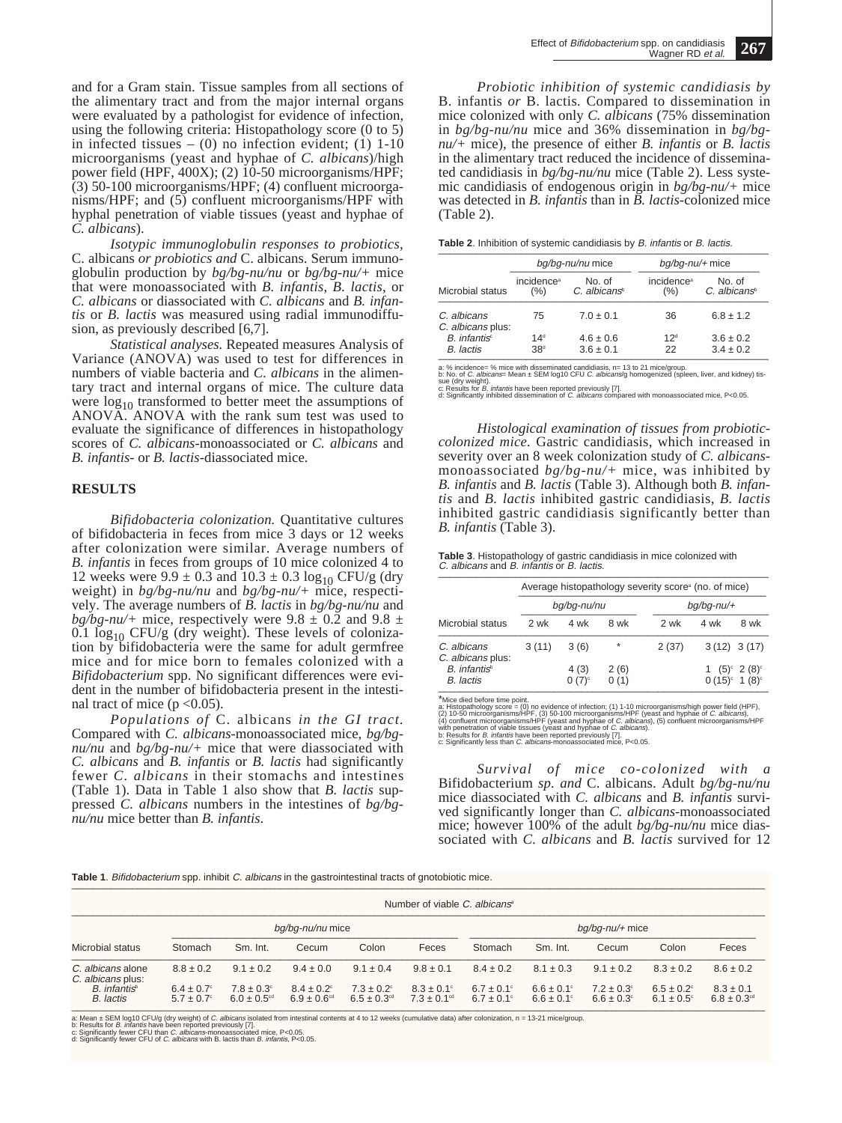and for a Gram stain. Tissue samples from all sections of the alimentary tract and from the major internal organs were evaluated by a pathologist for evidence of infection, using the following criteria: Histopathology score (0 to 5) in infected tissues  $-$  (0) no infection evident; (1) 1-10 microorganisms (yeast and hyphae of *C. albicans*)/high power field (HPF,  $400X$ ); (2) 10-50 microorganisms/HPF; (3) 50-100 microorganisms/HPF; (4) confluent microorganisms/HPF; and (5) confluent microorganisms/HPF with hyphal penetration of viable tissues (yeast and hyphae of *C. albicans*).

*Isotypic immunoglobulin responses to probiotics,* C. albicans *or probiotics and* C. albicans. Serum immunoglobulin production by *bg/bg-nu/nu* or *bg/bg-nu/+* mice that were monoassociated with *B. infantis*, *B. lactis*, or *C. albicans* or diassociated with *C. albicans* and *B. infantis* or *B. lactis* was measured using radial immunodiffusion, as previously described [6,7].

*Statistical analyses.* Repeated measures Analysis of Variance (ANOVA) was used to test for differences in numbers of viable bacteria and *C. albicans* in the alimentary tract and internal organs of mice. The culture data were  $log_{10}$  transformed to better meet the assumptions of ANOVA. ANOVA with the rank sum test was used to evaluate the significance of differences in histopathology scores of *C. albicans*-monoassociated or *C. albicans* and *B. infantis*- or *B. lactis*-diassociated mice.

#### **RESULTS**

*Bifidobacteria colonization.* Quantitative cultures of bifidobacteria in feces from mice 3 days or 12 weeks after colonization were similar. Average numbers of *B. infantis* in feces from groups of 10 mice colonized 4 to 12 weeks were  $9.9 \pm 0.3$  and  $10.3 \pm 0.3 \log_{10}$  CFU/g (dry weight) in *bg/bg-nu/nu* and *bg/bg-nu/+* mice, respectively. The average numbers of *B. lactis* in *bg/bg-nu/nu* and  $bg\overline{b}g\overline{b}g\overline{b}m\overline{u}$  mice, respectively were 9.8  $\pm$  0.2 and 9.8  $\pm$  $0.1$  log<sub>10</sub> CFU/g (dry weight). These levels of colonization by bifidobacteria were the same for adult germfree mice and for mice born to females colonized with a *Bifidobacterium* spp. No significant differences were evident in the number of bifidobacteria present in the intestinal tract of mice ( $p < 0.05$ ).

*Populations of* C. albicans *in the GI tract.* Compared with *C. albicans*-monoassociated mice, *bg/bgnu/nu* and *bg/bg-nu/+* mice that were diassociated with *C. albicans* and *B. infantis* or *B. lactis* had significantly fewer *C. albicans* in their stomachs and intestines (Table 1). Data in Table 1 also show that *B. lactis* suppressed *C. albicans* numbers in the intestines of *bg/bgnu/nu* mice better than *B. infantis*.

*Probiotic inhibition of systemic candidiasis by* B. infantis *or* B. lactis*.* Compared to dissemination in mice colonized with only *C. albicans* (75% dissemination in *bg/bg-nu/nu* mice and 36% dissemination in *bg/bgnu/+* mice), the presence of either *B. infantis* or *B. lactis* in the alimentary tract reduced the incidence of disseminated candidiasis in *bg/bg-nu/nu* mice (Table 2). Less systemic candidiasis of endogenous origin in *bg/bg-nu/+* mice was detected in *B. infantis* than in *B. lactis*-colonized mice (Table 2).

| Table 2. Inhibition of systemic candidiasis by B. infantis or B. lactis. |  |
|--------------------------------------------------------------------------|--|
|                                                                          |  |

| Microbial status                          |                                    | bq/bq-nu/nu mice                   | $bq/bq$ -nu/+ mice                |                                 |  |
|-------------------------------------------|------------------------------------|------------------------------------|-----------------------------------|---------------------------------|--|
|                                           | incidence <sup>a</sup><br>(% )     | No. of<br>C. albicans <sup>®</sup> | incidence <sup>a</sup><br>$(\% )$ | No. of<br>$C.$ albicans $\circ$ |  |
| C. albicans<br>C. albicans plus:          | 75                                 | $7.0 \pm 0.1$                      | 36                                | $6.8 \pm 1.2$                   |  |
| $B.$ infantis $\circ$<br><b>B.</b> lactis | 14 <sup>d</sup><br>38 <sup>d</sup> | $4.6 \pm 0.6$<br>$3.6 \pm 0.1$     | 12 <sup>d</sup><br>22             | $3.6 \pm 0.2$<br>$3.4 \pm 0.2$  |  |

a: % incidence= % mice with disseminated candidiasis, n= 13 to 21 mice/group.<br>b: No. of C. *albicans*= Mean ± SEM log10 CFU *C. albicans*/g homogenized (spleen, liver, and kidney) tis-<br>sue (dry weight).<br>sue (dry weight).<br>

*Histological examination of tissues from probioticcolonized mice.* Gastric candidiasis, which increased in severity over an 8 week colonization study of *C. albicans*monoassociated *bg/bg-nu/+* mice, was inhibited by *B. infantis* and *B. lactis* (Table 3). Although both *B. infantis* and *B. lactis* inhibited gastric candidiasis, *B. lactis* inhibited gastric candidiasis significantly better than *B. infantis* (Table 3).

| Table 3. Histopathology of gastric candidiasis in mice colonized with |
|-----------------------------------------------------------------------|
| C. albicans and B. infantis or B. lactis.                             |
|                                                                       |

|                                                | Average histopathology severity score <sup>®</sup> (no. of mice) |                             |              |               |      |                                                               |  |  |
|------------------------------------------------|------------------------------------------------------------------|-----------------------------|--------------|---------------|------|---------------------------------------------------------------|--|--|
|                                                | bq/bq-nu/nu                                                      |                             |              | $bq/bq$ -nu/+ |      |                                                               |  |  |
| Microbial status                               | 2 wk                                                             | 4 wk                        | 8 wk         | 2 wk          | 4 wk | 8 wk                                                          |  |  |
| C. albicans<br>C. albicans plus:               | 3(11)                                                            | 3(6)                        | $\star$      | 2(37)         |      | $3(12)$ $3(17)$                                               |  |  |
| $B.$ infantis <sup>b</sup><br><b>B.</b> lactis |                                                                  | 4(3)<br>$0(7)$ <sup>c</sup> | 2(6)<br>0(1) |               |      | 1 $(5)^{\circ} 2 (8)^{\circ}$<br>$0(15)^{\circ} 1(8)^{\circ}$ |  |  |

\*Mice died before time point.<br>
\*Mice died before time point.<br>
2) To-Solmonogy score = (0) no evidence of infection; (1) 1-10 microorganisms/high power field (HPF),<br>
2) 10-50 microorganisms/HPF (yeast and hyphae of *C. albi* 

*Survival of mice co-colonized with a* Bifidobacterium *sp. and* C. albicans. Adult *bg/bg-nu/nu* mice diassociated with *C. albicans* and *B. infantis* survived significantly longer than *C. albicans*-monoassociated mice; however 100% of the adult *bg/bg-nu/nu* mice diassociated with *C. albicans* and *B. lactis* survived for 12

Table 1 Bifidobacterium spp. inhibit C, albicans in the gastrointestinal tracts of gnotobiotic mice

|                                        |                                    | bg/bg-nu/nu mice                               |                                              |                                              |                                                |                                          | $bq/bq-nu/+$ mice                  |                                                |                                        |                                              |
|----------------------------------------|------------------------------------|------------------------------------------------|----------------------------------------------|----------------------------------------------|------------------------------------------------|------------------------------------------|------------------------------------|------------------------------------------------|----------------------------------------|----------------------------------------------|
| Microbial status                       | Stomach                            | Sm. Int.                                       | Cecum                                        | Colon                                        | Feces                                          | Stomach                                  | Sm. Int.                           | Cecum                                          | Colon                                  | Feces                                        |
| C. albicans alone<br>C. albicans plus: | $8.8 \pm 0.2$                      | $9.1 \pm 0.2$                                  | $9.4 \pm 0.0$                                | $9.1 \pm 0.4$                                | $9.8 \pm 0.1$                                  | $8.4 \pm 0.2$                            | $8.1 \pm 0.3$                      | $9.1 \pm 0.2$                                  | $8.3 \pm 0.2$                          | $8.6 \pm 0.2$                                |
| B. infantis <sup>®</sup><br>B. lactis  | $6.4 \pm 0.7$ °<br>$5.7 \pm 0.7$ ° | $7.8 \pm 0.3$ °<br>$6.0 \pm 0.5$ <sup>cd</sup> | $8.4 \pm 0.2$<br>$6.9 \pm 0.6$ <sup>cd</sup> | $7.3 \pm 0.2$<br>$6.5 \pm 0.3$ <sup>od</sup> | $8.3 \pm 0.1$ °<br>$7.3 \pm 0.1$ <sup>cd</sup> | $6.7 \pm 0.1$ °<br>$6.7 \pm 0.1^{\circ}$ | $6.6 \pm 0.1$ °<br>$6.6 \pm 0.1$ ° | $7.2 \pm 0.3^{\circ}$<br>$6.6 \pm 0.3^{\circ}$ | $6.5 \pm 0.2$<br>$6.1 \pm 0.5^{\circ}$ | $8.3 \pm 0.1$<br>$6.8 \pm 0.3$ <sup>cd</sup> |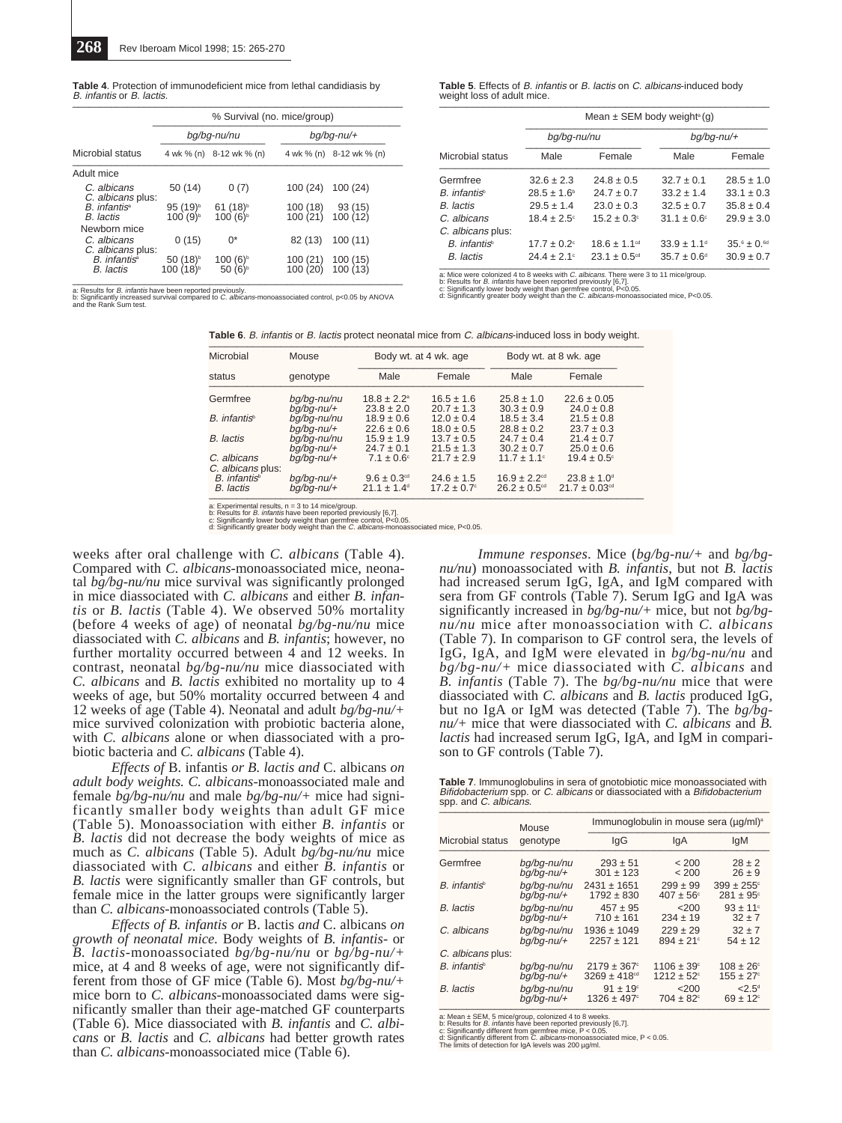| <b>Table 4.</b> Protection of immunodeficient mice from lethal candidiasis by |
|-------------------------------------------------------------------------------|
| B. infantis or B. lactis.                                                     |
|                                                                               |

|                                                  | % Survival (no. mice/group)                   |                                              |                      |                          |  |  |
|--------------------------------------------------|-----------------------------------------------|----------------------------------------------|----------------------|--------------------------|--|--|
|                                                  |                                               | bg/bg-nu/nu                                  | $bg/bq$ -nu/+        |                          |  |  |
| Microbial status                                 |                                               | 4 wk % (n) 8-12 wk % (n)                     |                      | 4 wk % (n) 8-12 wk % (n) |  |  |
| Adult mice                                       |                                               |                                              |                      |                          |  |  |
| C. albicans<br>C. albicans plus:                 | 50(14)                                        | 0(7)                                         | 100 (24)             | 100(24)                  |  |  |
| $B$ infantis <sup>a</sup><br>B. lactis           | 95 (19) <sup>b</sup><br>100 (9) <sup>b</sup>  | 61 (18) <sup>b</sup><br>100 (6) <sup>b</sup> | 100 (18)<br>100 (21) | $93(15)$<br>$100(12)$    |  |  |
| Newborn mice<br>C. albicans<br>C. albicans plus: | 0(15)                                         | 0*                                           | 82 (13)              | 100(11)                  |  |  |
| B. infantis <sup>a</sup><br><b>B.</b> lactis     | 50 (18) <sup>b</sup><br>100 (18) <sup>b</sup> | 100(6) <sup>b</sup><br>50(6)                 | 100(21)<br>100 (20)  | 100(15)<br>100(13)       |  |  |

a: Results for B. infantis have been reported previously. b: Significantly increased survival compared to C. albicans-monoassociated control, p<0.05 by ANOVA and the Rank Sum test. **Table 5**. Effects of B. infantis or B. lactis on C. albicans-induced body weight loss of adult mice.  $\frac{1}{2}$ 

|                          | Mean $\pm$ SEM body weight <sup>a</sup> (g) |                              |                             |                 |  |  |  |
|--------------------------|---------------------------------------------|------------------------------|-----------------------------|-----------------|--|--|--|
|                          | bq/bq-nu/nu                                 |                              | bq/bq-nu/+                  |                 |  |  |  |
| Microbial status         | Male                                        | Female                       | Male                        | Female          |  |  |  |
| Germfree                 | $32.6 \pm 2.3$                              | $24.8 \pm 0.5$               | $32.7 \pm 0.1$              | $28.5 \pm 1.0$  |  |  |  |
| B. infantis <sup>b</sup> | $28.5 \pm 1.6^{\circ}$                      | $24.7 \pm 0.7$               | $33.2 \pm 1.4$              | $33.1 \pm 0.3$  |  |  |  |
| <b>B.</b> lactis         | $29.5 \pm 1.4$                              | $23.0 \pm 0.3$               | $32.5 \pm 0.7$              | $35.8 \pm 0.4$  |  |  |  |
| C. albicans              | $18.4 \pm 2.5^{\circ}$                      | $15.2 \pm 0.3^{\circ}$       | $31.1 \pm 0.6^{\circ}$      | $29.9 \pm 3.0$  |  |  |  |
| C. albicans plus:        |                                             |                              |                             |                 |  |  |  |
| B. infantis <sup>b</sup> | $17.7 \pm 0.2$ <sup>c</sup>                 | $18.6 \pm 1.1$ <sup>cd</sup> | $33.9 \pm 1.1$ <sup>d</sup> | $35.6 \pm 0.61$ |  |  |  |
| B. lactis                | $24.4 \pm 2.1$ °                            | $23.1 \pm 0.5$ <sup>cd</sup> | $35.7 \pm 0.6^{\circ}$      | $30.9 \pm 0.7$  |  |  |  |

a: Mice were colonized 4 to 8 weeks with *C. albicans.* There were 3 to 11 mice/group.<br>t: Results for *B. infantis* have been reported previously [6,7].<br>c: Significantly greater body weight than the *C. albicans-*monoassoc

**Table 6.** B. infantis or B. lactis protect neonatal mice from C. albicans-induced loss in body weight.

| Microbial                             | Mouse                          |                                                       | Body wt. at 4 wk. age                    |                                                              | Body wt. at 8 wk. age                                        |
|---------------------------------------|--------------------------------|-------------------------------------------------------|------------------------------------------|--------------------------------------------------------------|--------------------------------------------------------------|
| status                                | genotype                       | Male                                                  | Female                                   | Male                                                         | Female                                                       |
| Germfree                              | bq/bq-nu/nu                    | $18.8 \pm 2.2^{\circ}$                                | $16.5 \pm 1.6$                           | $25.8 \pm 1.0$                                               | $22.6 \pm 0.05$                                              |
| B. infantis <sup>®</sup>              | $bq/bq$ -nu/+<br>bg/bg-nu/nu   | $23.8 \pm 2.0$<br>$18.9 \pm 0.6$                      | $20.7 \pm 1.3$<br>$12.0 \pm 0.4$         | $30.3 \pm 0.9$<br>$18.5 \pm 3.4$                             | $24.0 \pm 0.8$<br>$21.5 \pm 0.8$                             |
| <b>B.</b> lactis                      | $bq/bq$ -nu/+<br>bq/bq-nu/nu   | $22.6 \pm 0.6$<br>$15.9 \pm 1.9$                      | $18.0 \pm 0.5$<br>$13.7 \pm 0.5$         | $28.8 \pm 0.2$<br>$24.7 \pm 0.4$                             | $23.7 \pm 0.3$<br>$21.4 \pm 0.7$                             |
|                                       | $bq/bq$ -nu/+                  | $24.7 \pm 0.1$                                        | $21.5 \pm 1.3$                           | $30.2 \pm 0.7$                                               | $25.0 \pm 0.6$                                               |
| C. albicans<br>C. albicans plus:      | $bq/bq$ -nu/+                  | $7.1 \pm 0.6^{\circ}$                                 | $21.7 \pm 2.9$                           | $11.7 \pm 1.1$ °                                             | $19.4 \pm 0.5^{\circ}$                                       |
| B. infantis <sup>®</sup><br>B. lactis | $bq/bq$ -nu/+<br>$bq/bq$ -nu/+ | $9.6 \pm 0.3$ <sup>cd</sup><br>$21.1 \pm 1.4^{\circ}$ | $24.6 \pm 1.5$<br>$17.2 \pm 0.7^{\circ}$ | $16.9 \pm 2.2$ <sup>cd</sup><br>$26.2 \pm 0.5$ <sup>cd</sup> | $23.8 \pm 1.0$ <sup>d</sup><br>$21.7 \pm 0.03$ <sup>cd</sup> |

a: Experimental results, n = 3 to 14 mice/group.<br>b: Results for *B. infantis* have been reported previously [6,7].<br>c: Significantly lower body weight than germfree control, P<0.05.<br>d: Significantly greater body weight than

weeks after oral challenge with *C. albicans* (Table 4). Compared with *C. albicans*-monoassociated mice, neonatal *bg/bg-nu/nu* mice survival was significantly prolonged in mice diassociated with *C. albicans* and either *B. infantis* or *B. lactis* (Table 4). We observed 50% mortality (before 4 weeks of age) of neonatal *bg/bg-nu/nu* mice diassociated with *C. albicans* and *B. infantis*; however, no further mortality occurred between 4 and 12 weeks. In contrast, neonatal *bg/bg-nu/nu* mice diassociated with *C. albicans* and *B. lactis* exhibited no mortality up to 4 weeks of age, but 50% mortality occurred between 4 and 12 weeks of age (Table 4). Neonatal and adult *bg/bg-nu/+* mice survived colonization with probiotic bacteria alone, with *C. albicans* alone or when diassociated with a probiotic bacteria and *C. albicans* (Table 4).

*Effects of* B. infantis *or B. lactis and* C. albicans *on adult body weights. C. albicans*-monoassociated male and female *bg/bg-nu/nu* and male *bg/bg-nu/+* mice had significantly smaller body weights than adult GF mice (Table 5). Monoassociation with either *B. infantis* or *B. lactis* did not decrease the body weights of mice as much as *C. albicans* (Table 5). Adult *bg/bg-nu/nu* mice diassociated with *C. albicans* and either *B. infantis* or *B. lactis* were significantly smaller than GF controls, but female mice in the latter groups were significantly larger than *C. albicans*-monoassociated controls (Table 5).

*Effects of B. infantis or* B. lactis *and* C. albicans *on growth of neonatal mice.* Body weights of *B. infantis*- or *B. lactis*-monoassociated *bg/bg-nu/nu* or *bg/bg-nu/+* mice, at 4 and 8 weeks of age, were not significantly different from those of GF mice (Table 6). Most *bg/bg-nu/+* mice born to *C. albicans*-monoassociated dams were significantly smaller than their age-matched GF counterparts (Table 6). Mice diassociated with *B. infantis* and *C. albicans* or *B. lactis* and *C. albicans* had better growth rates than *C. albicans*-monoassociated mice (Table 6).

*Immune responses*. Mice (*bg/bg-nu/+* and *bg/bgnu/nu*) monoassociated with *B. infantis*, but not *B. lactis* had increased serum IgG, IgA, and IgM compared with sera from GF controls (Table 7). Serum IgG and IgA was significantly increased in *bg/bg-nu/+* mice, but not *bg/bgnu/nu* mice after monoassociation with *C. albicans* (Table 7). In comparison to GF control sera, the levels of IgG, IgA, and IgM were elevated in *bg/bg-nu/nu* and *bg/bg-nu/+* mice diassociated with *C. albicans* and *B. infantis* (Table 7). The *bg/bg-nu/nu* mice that were diassociated with *C. albicans* and *B. lactis* produced IgG, but no IgA or IgM was detected (Table 7). The *bg/bgnu/+* mice that were diassociated with *C. albicans* and *B. lactis* had increased serum IgG, IgA, and IgM in comparison to GF controls (Table 7).

**Table 7**. Immunoglobulins in sera of gnotobiotic mice monoassociated with Bifidobacterium spp. or C. albicans or diassociated with a Bifidobacterium spp. and C. albicans.

|                          | Mouse         | Immunoglobulin in mouse sera (ug/ml) <sup>a</sup> |                            |                        |  |  |
|--------------------------|---------------|---------------------------------------------------|----------------------------|------------------------|--|--|
| Microbial status         | genotype      | lgG                                               | lgA                        | lgM                    |  |  |
| Germfree                 | bg/bg-nu/nu   | $293 \pm 51$                                      | < 200                      | $28 \pm 2$             |  |  |
|                          | bq/bq-nu/+    | $301 \pm 123$                                     | < 200                      | $26 \pm 9$             |  |  |
| B. infantis <sup>b</sup> | bq/bq-nu/nu   | $2431 \pm 1651$                                   | $299 \pm 99$               | $399 \pm 255$ °        |  |  |
|                          | $bq/bq$ -nu/+ | $1792 \pm 830$                                    | $407 \pm 56^{\circ}$       | $281 \pm 95$ °         |  |  |
| <b>B.</b> lactis         | bq/bq-nu/nu   | $457 \pm 95$                                      | 200                        | $93 + 11$ <sup>c</sup> |  |  |
|                          | $bq/bq$ -nu/+ | $710 \pm 161$                                     | $234 \pm 19$               | $32 + 7$               |  |  |
| C. albicans              | bq/bq-nu/nu   | $1936 \pm 1049$                                   | $229 \pm 29$               | $32 + 7$               |  |  |
|                          | bq/bq-nu/+    | $2257 + 121$                                      | $894 \pm 21^{\circ}$       | $54 \pm 12$            |  |  |
| C. albicans plus:        |               |                                                   |                            |                        |  |  |
| B. infantis <sup>b</sup> | bq/bq-nu/nu   | $2179 \pm 367$ °                                  | $1106 \pm 39^{\circ}$      | $108 \pm 26^{\circ}$   |  |  |
|                          | $bg/bq$ -nu/+ | $3269 \pm 418$ <sup>cd</sup>                      | $1212 \pm 52$ <sup>c</sup> | $155 \pm 27^{\circ}$   |  |  |
| <b>B.</b> lactis         | bq/bq-nu/nu   | $91 \pm 19$ <sup>c</sup>                          | $<$ 200                    | $< 2.5^\circ$          |  |  |
|                          | bq/bq-nu/+    | $1326 \pm 497$ <sup>c</sup>                       | $704 \pm 82^{\circ}$       | $69 \pm 12^{\circ}$    |  |  |

a: Mean ± SEM, 5 mice/group, colonized 4 to 8 weeks.

b: Results for *B. infantis* have been reported previously [6,7].<br>c: Significantly different from germfree mice, P < 0.05.<br>d: Significantly different from *C. albicans-*monoassociated mice, P < 0.05.<br>The limits of detectio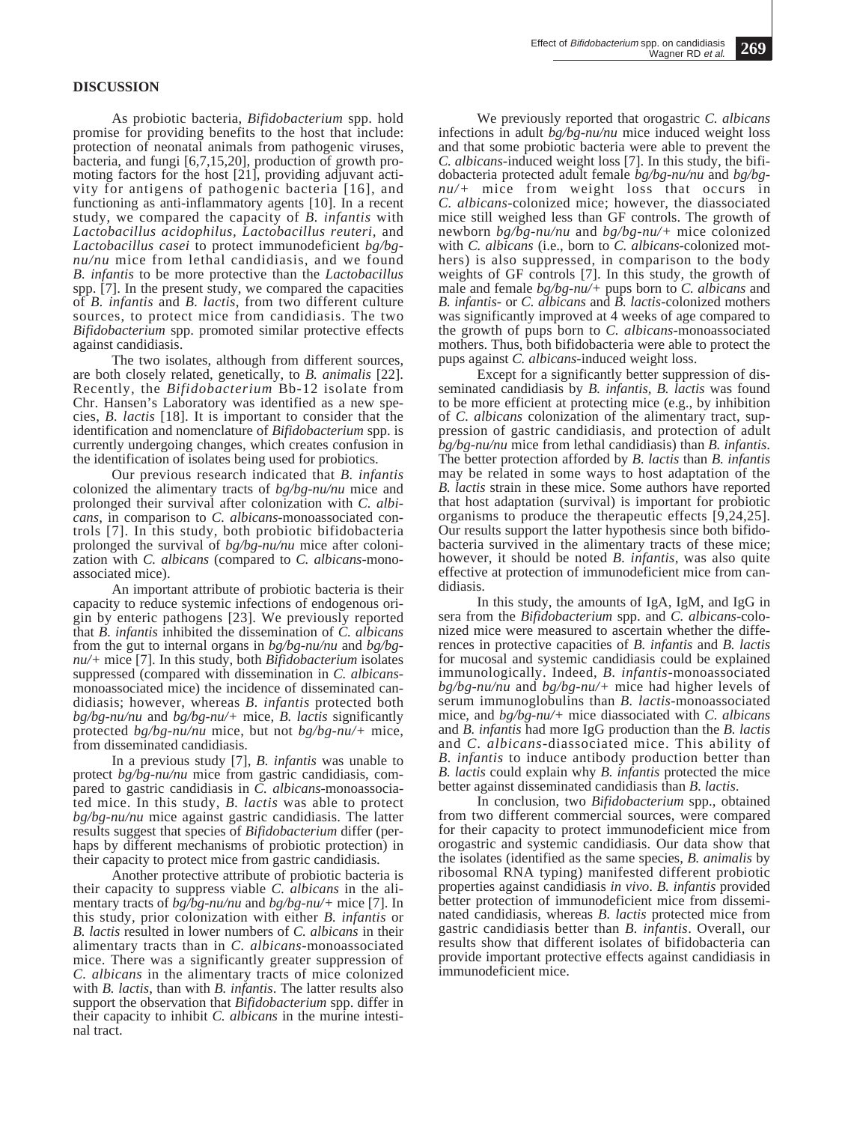## **DISCUSSION**

As probiotic bacteria, *Bifidobacterium* spp. hold promise for providing benefits to the host that include: protection of neonatal animals from pathogenic viruses, bacteria, and fungi [6,7,15,20], production of growth promoting factors for the host [21], providing adjuvant activity for antigens of pathogenic bacteria [16], and functioning as anti-inflammatory agents [10]. In a recent study, we compared the capacity of *B. infantis* with *Lactobacillus acidophilus, Lactobacillus reuteri,* and *Lactobacillus casei* to protect immunodeficient *bg/bgnu/nu* mice from lethal candidiasis, and we found *B. infantis* to be more protective than the *Lactobacillus* spp. [7]. In the present study, we compared the capacities of *B. infantis* and *B. lactis*, from two different culture sources, to protect mice from candidiasis. The two *Bifidobacterium* spp. promoted similar protective effects against candidiasis.

The two isolates, although from different sources, are both closely related, genetically, to *B. animalis* [22]. Recently, the *Bifidobacterium* Bb-12 isolate from Chr. Hansen's Laboratory was identified as a new species, *B. lactis* [18]. It is important to consider that the identification and nomenclature of *Bifidobacterium* spp. is currently undergoing changes, which creates confusion in the identification of isolates being used for probiotics.

Our previous research indicated that *B. infantis* colonized the alimentary tracts of *bg/bg-nu/nu* mice and prolonged their survival after colonization with *C. albicans*, in comparison to *C. albicans*-monoassociated controls [7]. In this study, both probiotic bifidobacteria prolonged the survival of *bg/bg-nu/nu* mice after colonization with *C. albicans* (compared to *C. albicans*-monoassociated mice).

An important attribute of probiotic bacteria is their capacity to reduce systemic infections of endogenous origin by enteric pathogens [23]. We previously reported that *B. infantis* inhibited the dissemination of *C. albicans* from the gut to internal organs in *bg/bg-nu/nu* and *bg/bgnu/+* mice [7]. In this study, both *Bifidobacterium* isolates suppressed (compared with dissemination in *C. albicans*monoassociated mice) the incidence of disseminated candidiasis; however, whereas *B. infantis* protected both *bg/bg-nu/nu* and *bg/bg-nu/+* mice, *B. lactis* significantly protected *bg/bg-nu/nu* mice, but not *bg/bg-nu/+* mice, from disseminated candidiasis.

In a previous study [7], *B. infantis* was unable to protect *bg/bg-nu/nu* mice from gastric candidiasis, compared to gastric candidiasis in *C. albicans*-monoassociated mice. In this study, *B. lactis* was able to protect *bg/bg-nu/nu* mice against gastric candidiasis. The latter results suggest that species of *Bifidobacterium* differ (perhaps by different mechanisms of probiotic protection) in their capacity to protect mice from gastric candidiasis.

Another protective attribute of probiotic bacteria is their capacity to suppress viable *C. albicans* in the alimentary tracts of *bg/bg-nu/nu* and *bg/bg-nu/+* mice [7]. In this study, prior colonization with either *B. infantis* or *B. lactis* resulted in lower numbers of *C. albicans* in their alimentary tracts than in *C. albicans*-monoassociated mice. There was a significantly greater suppression of *C. albicans* in the alimentary tracts of mice colonized with *B. lactis*, than with *B. infantis*. The latter results also support the observation that *Bifidobacterium* spp. differ in their capacity to inhibit *C. albicans* in the murine intestinal tract.

We previously reported that orogastric *C. albicans* infections in adult *bg/bg-nu/nu* mice induced weight loss and that some probiotic bacteria were able to prevent the *C. albicans*-induced weight loss [7]. In this study, the bifidobacteria protected adult female *bg/bg-nu/nu* and *bg/bgnu/+* mice from weight loss that occurs in *C. albicans*-colonized mice; however, the diassociated mice still weighed less than GF controls. The growth of newborn *bg/bg-nu/nu* and *bg/bg-nu/+* mice colonized with *C. albicans* (i.e., born to *C. albicans*-colonized mothers) is also suppressed, in comparison to the body weights of GF controls [7]. In this study, the growth of male and female *bg/bg-nu/+* pups born to *C. albicans* and *B. infantis*- or *C. albicans* and *B. lactis*-colonized mothers was significantly improved at 4 weeks of age compared to the growth of pups born to *C. albicans*-monoassociated mothers. Thus, both bifidobacteria were able to protect the pups against *C. albicans*-induced weight loss.

Except for a significantly better suppression of disseminated candidiasis by *B. infantis*, *B. lactis* was found to be more efficient at protecting mice (e.g., by inhibition of *C. albicans* colonization of the alimentary tract, suppression of gastric candidiasis, and protection of adult  $bg/bg\text{-}nu/nu$  mice from lethal candidiasis) than *B*. *infantis*. *f*he better protection afforded by *B. lactis* than *B. infantis* may be related in some ways to host adaptation of the *B. lactis* strain in these mice. Some authors have reported that host adaptation (survival) is important for probiotic organisms to produce the therapeutic effects [9,24,25]. Our results support the latter hypothesis since both bifidobacteria survived in the alimentary tracts of these mice; however, it should be noted *B. infantis*, was also quite effective at protection of immunodeficient mice from candidiasis.

In this study, the amounts of IgA, IgM, and IgG in sera from the *Bifidobacterium* spp. and *C. albicans*-colonized mice were measured to ascertain whether the differences in protective capacities of *B. infantis* and *B. lactis* for mucosal and systemic candidiasis could be explained immunologically. Indeed, *B. infantis*-monoassociated *bg/bg-nu/nu* and *bg/bg-nu/+* mice had higher levels of serum immunoglobulins than *B. lactis*-monoassociated mice, and *bg/bg-nu/+* mice diassociated with *C. albicans* and *B. infantis* had more IgG production than the *B. lactis* and *C. albicans*-diassociated mice. This ability of *B. infantis* to induce antibody production better than *B. lactis* could explain why *B. infantis* protected the mice better against disseminated candidiasis than *B. lactis*.

In conclusion, two *Bifidobacterium* spp., obtained from two different commercial sources, were compared for their capacity to protect immunodeficient mice from orogastric and systemic candidiasis. Our data show that the isolates (identified as the same species, *B. animalis* by ribosomal RNA typing) manifested different probiotic properties against candidiasis *in vivo*. *B. infantis* provided better protection of immunodeficient mice from disseminated candidiasis, whereas *B. lactis* protected mice from gastric candidiasis better than *B. infantis*. Overall, our results show that different isolates of bifidobacteria can provide important protective effects against candidiasis in immunodeficient mice.